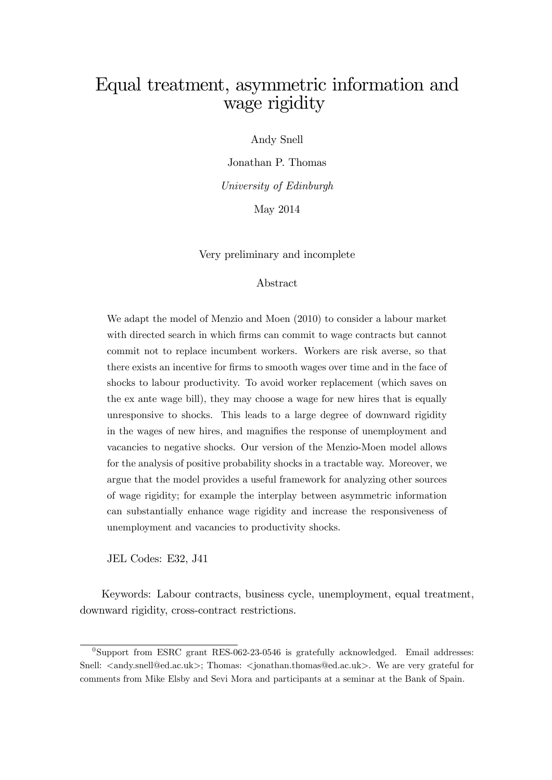# Equal treatment, asymmetric information and wage rigidity

Andy Snell

Jonathan P. Thomas University of Edinburgh May 2014

Very preliminary and incomplete

#### Abstract

We adapt the model of Menzio and Moen (2010) to consider a labour market with directed search in which firms can commit to wage contracts but cannot commit not to replace incumbent workers. Workers are risk averse, so that there exists an incentive for Örms to smooth wages over time and in the face of shocks to labour productivity. To avoid worker replacement (which saves on the ex ante wage bill), they may choose a wage for new hires that is equally unresponsive to shocks. This leads to a large degree of downward rigidity in the wages of new hires, and magnifies the response of unemployment and vacancies to negative shocks. Our version of the Menzio-Moen model allows for the analysis of positive probability shocks in a tractable way. Moreover, we argue that the model provides a useful framework for analyzing other sources of wage rigidity; for example the interplay between asymmetric information can substantially enhance wage rigidity and increase the responsiveness of unemployment and vacancies to productivity shocks.

JEL Codes: E32, J41

Keywords: Labour contracts, business cycle, unemployment, equal treatment, downward rigidity, cross-contract restrictions.

 $^{0}$ Support from ESRC grant RES-062-23-0546 is gratefully acknowledged. Email addresses: Snell:  $\langle \text{and} y \text{.snell@ed.ac.uk} \rangle$ ; Thomas:  $\langle \text{.jonathan.thomas@ed.ac.uk} \rangle$ . We are very grateful for comments from Mike Elsby and Sevi Mora and participants at a seminar at the Bank of Spain.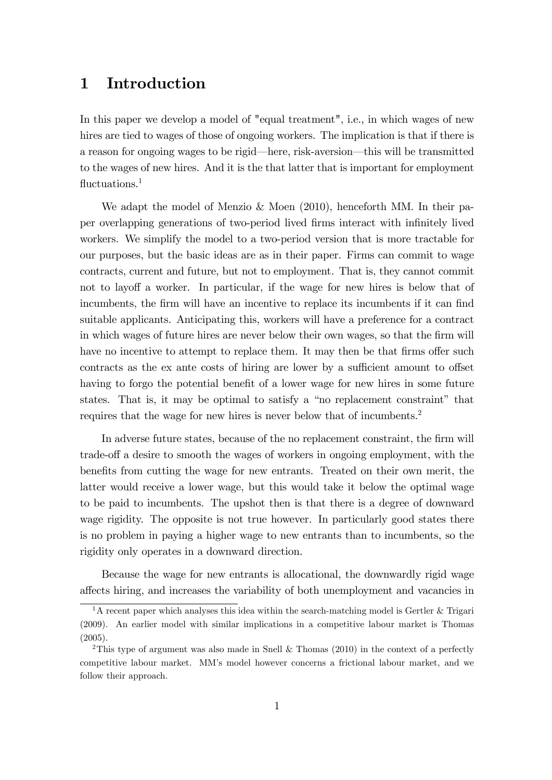## 1 Introduction

In this paper we develop a model of "equal treatment", i.e., in which wages of new hires are tied to wages of those of ongoing workers. The implication is that if there is a reason for ongoing wages to be rigid—here, risk-aversion—this will be transmitted to the wages of new hires. And it is the that latter that is important for employment fluctuations. $<sup>1</sup>$ </sup>

We adapt the model of Menzio & Moen (2010), henceforth MM. In their paper overlapping generations of two-period lived firms interact with infinitely lived workers. We simplify the model to a two-period version that is more tractable for our purposes, but the basic ideas are as in their paper. Firms can commit to wage contracts, current and future, but not to employment. That is, they cannot commit not to layoff a worker. In particular, if the wage for new hires is below that of incumbents, the firm will have an incentive to replace its incumbents if it can find suitable applicants. Anticipating this, workers will have a preference for a contract in which wages of future hires are never below their own wages, so that the firm will have no incentive to attempt to replace them. It may then be that firms offer such contracts as the ex ante costs of hiring are lower by a sufficient amount to offset having to forgo the potential benefit of a lower wage for new hires in some future states. That is, it may be optimal to satisfy a "no replacement constraint" that requires that the wage for new hires is never below that of incumbents.<sup>2</sup>

In adverse future states, because of the no replacement constraint, the firm will trade-off a desire to smooth the wages of workers in ongoing employment, with the benefits from cutting the wage for new entrants. Treated on their own merit, the latter would receive a lower wage, but this would take it below the optimal wage to be paid to incumbents. The upshot then is that there is a degree of downward wage rigidity. The opposite is not true however. In particularly good states there is no problem in paying a higher wage to new entrants than to incumbents, so the rigidity only operates in a downward direction.

Because the wage for new entrants is allocational, the downwardly rigid wage a§ects hiring, and increases the variability of both unemployment and vacancies in

<sup>&</sup>lt;sup>1</sup>A recent paper which analyses this idea within the search-matching model is Gertler & Trigari (2009). An earlier model with similar implications in a competitive labour market is Thomas (2005).

<sup>&</sup>lt;sup>2</sup>This type of argument was also made in Snell & Thomas (2010) in the context of a perfectly competitive labour market. MMís model however concerns a frictional labour market, and we follow their approach.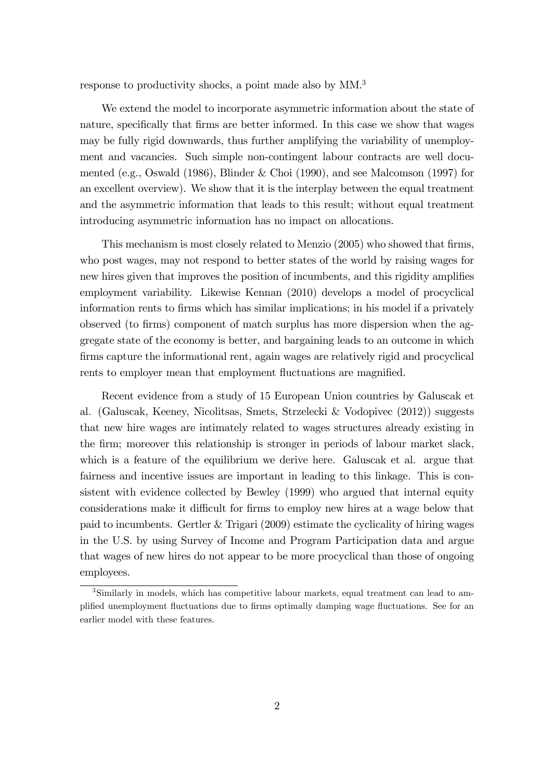response to productivity shocks, a point made also by MM.<sup>3</sup>

We extend the model to incorporate asymmetric information about the state of nature, specifically that firms are better informed. In this case we show that wages may be fully rigid downwards, thus further amplifying the variability of unemployment and vacancies. Such simple non-contingent labour contracts are well documented (e.g., Oswald (1986), Blinder & Choi (1990), and see Malcomson (1997) for an excellent overview). We show that it is the interplay between the equal treatment and the asymmetric information that leads to this result; without equal treatment introducing asymmetric information has no impact on allocations.

This mechanism is most closely related to Menzio (2005) who showed that firms, who post wages, may not respond to better states of the world by raising wages for new hires given that improves the position of incumbents, and this rigidity amplifies employment variability. Likewise Kennan (2010) develops a model of procyclical information rents to firms which has similar implications; in his model if a privately observed (to Örms) component of match surplus has more dispersion when the aggregate state of the economy is better, and bargaining leads to an outcome in which firms capture the informational rent, again wages are relatively rigid and procyclical rents to employer mean that employment fluctuations are magnified.

Recent evidence from a study of 15 European Union countries by Galuscak et al. (Galuscak, Keeney, Nicolitsas, Smets, Strzelecki & Vodopivec (2012)) suggests that new hire wages are intimately related to wages structures already existing in the Örm; moreover this relationship is stronger in periods of labour market slack, which is a feature of the equilibrium we derive here. Galuscak et al. argue that fairness and incentive issues are important in leading to this linkage. This is consistent with evidence collected by Bewley (1999) who argued that internal equity considerations make it difficult for firms to employ new hires at a wage below that paid to incumbents. Gertler & Trigari (2009) estimate the cyclicality of hiring wages in the U.S. by using Survey of Income and Program Participation data and argue that wages of new hires do not appear to be more procyclical than those of ongoing employees.

<sup>&</sup>lt;sup>3</sup>Similarly in models, which has competitive labour markets, equal treatment can lead to amplified unemployment fluctuations due to firms optimally damping wage fluctuations. See for an earlier model with these features.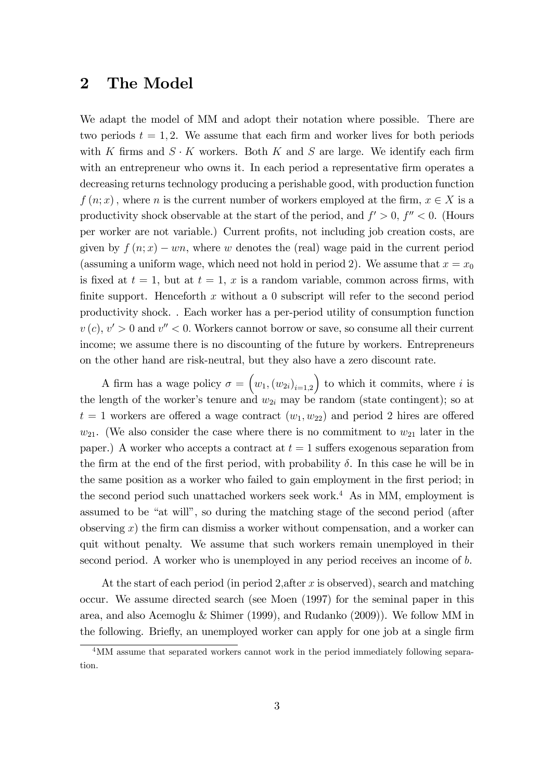### 2 The Model

We adapt the model of MM and adopt their notation where possible. There are two periods  $t = 1, 2$ . We assume that each firm and worker lives for both periods with K firms and  $S \cdot K$  workers. Both K and S are large. We identify each firm with an entrepreneur who owns it. In each period a representative firm operates a decreasing returns technology producing a perishable good, with production function  $f(n; x)$ , where n is the current number of workers employed at the firm,  $x \in X$  is a productivity shock observable at the start of the period, and  $f' > 0$ ,  $f'' < 0$ . (Hours per worker are not variable.) Current proÖts, not including job creation costs, are given by  $f(n; x) - w_n$ , where w denotes the (real) wage paid in the current period (assuming a uniform wage, which need not hold in period 2). We assume that  $x = x_0$ is fixed at  $t = 1$ , but at  $t = 1$ , x is a random variable, common across firms, with finite support. Henceforth x without a 0 subscript will refer to the second period productivity shock. . Each worker has a per-period utility of consumption function  $v(c), v' > 0$  and  $v'' < 0$ . Workers cannot borrow or save, so consume all their current income; we assume there is no discounting of the future by workers. Entrepreneurs on the other hand are risk-neutral, but they also have a zero discount rate.

A firm has a wage policy  $\sigma = (w_1, (w_{2i})_{i=1,2})$ ) to which it commits, where  $i$  is the length of the worker's tenure and  $w_{2i}$  may be random (state contingent); so at  $t = 1$  workers are offered a wage contract  $(w_1, w_{22})$  and period 2 hires are offered  $w_{21}$ . (We also consider the case where there is no commitment to  $w_{21}$  later in the paper.) A worker who accepts a contract at  $t = 1$  suffers exogenous separation from the firm at the end of the first period, with probability  $\delta$ . In this case he will be in the same position as a worker who failed to gain employment in the first period; in the second period such unattached workers seek work.<sup>4</sup> As in MM, employment is assumed to be "at will", so during the matching stage of the second period (after observing  $x$ ) the firm can dismiss a worker without compensation, and a worker can quit without penalty. We assume that such workers remain unemployed in their second period. A worker who is unemployed in any period receives an income of b.

At the start of each period (in period 2, after  $x$  is observed), search and matching occur. We assume directed search (see Moen (1997) for the seminal paper in this area, and also Acemoglu & Shimer (1999), and Rudanko (2009)). We follow MM in the following. Briefly, an unemployed worker can apply for one job at a single firm

<sup>4</sup>MM assume that separated workers cannot work in the period immediately following separation.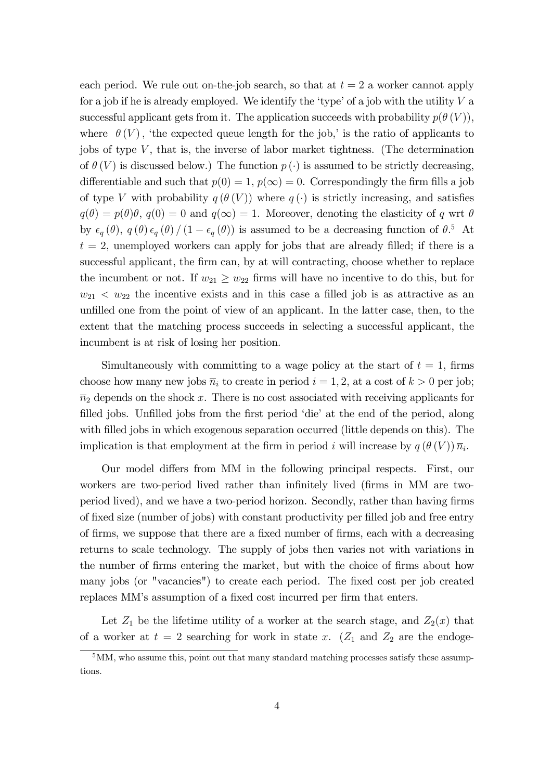each period. We rule out on-the-job search, so that at  $t = 2$  a worker cannot apply for a job if he is already employed. We identify the 'type' of a job with the utility  $V$  a successful applicant gets from it. The application succeeds with probability  $p(\theta(V))$ , where  $\theta(V)$ , 'the expected queue length for the job,' is the ratio of applicants to jobs of type  $V$ , that is, the inverse of labor market tightness. (The determination of  $\theta$  (V) is discussed below.) The function  $p(\cdot)$  is assumed to be strictly decreasing, differentiable and such that  $p(0) = 1$ ,  $p(\infty) = 0$ . Correspondingly the firm fills a job of type V with probability  $q(\theta(V))$  where  $q(\cdot)$  is strictly increasing, and satisfies  $q(\theta) = p(\theta)\theta$ ,  $q(0) = 0$  and  $q(\infty) = 1$ . Moreover, denoting the elasticity of q wrt  $\theta$ by  $\epsilon_q(\theta)$ ,  $q(\theta) \epsilon_q(\theta) / (1 - \epsilon_q(\theta))$  is assumed to be a decreasing function of  $\theta$ .<sup>5</sup> At  $t = 2$ , unemployed workers can apply for jobs that are already filled; if there is a successful applicant, the firm can, by at will contracting, choose whether to replace the incumbent or not. If  $w_{21} \geq w_{22}$  firms will have no incentive to do this, but for  $w_{21} < w_{22}$  the incentive exists and in this case a filled job is as attractive as an unfilled one from the point of view of an applicant. In the latter case, then, to the extent that the matching process succeeds in selecting a successful applicant, the incumbent is at risk of losing her position.

Simultaneously with committing to a wage policy at the start of  $t = 1$ , firms choose how many new jobs  $\overline{n}_i$  to create in period  $i = 1, 2$ , at a cost of  $k > 0$  per job;  $\overline{n}_2$  depends on the shock x. There is no cost associated with receiving applicants for filled jobs. Unfilled jobs from the first period 'die' at the end of the period, along with filled jobs in which exogenous separation occurred (little depends on this). The implication is that employment at the firm in period i will increase by  $q(\theta(V))\overline{n_i}$ .

Our model differs from MM in the following principal respects. First, our workers are two-period lived rather than infinitely lived (firms in MM are twoperiod lived), and we have a two-period horizon. Secondly, rather than having firms of Öxed size (number of jobs) with constant productivity per Ölled job and free entry of firms, we suppose that there are a fixed number of firms, each with a decreasing returns to scale technology. The supply of jobs then varies not with variations in the number of firms entering the market, but with the choice of firms about how many jobs (or "vacancies") to create each period. The fixed cost per job created replaces MM's assumption of a fixed cost incurred per firm that enters.

Let  $Z_1$  be the lifetime utility of a worker at the search stage, and  $Z_2(x)$  that of a worker at  $t = 2$  searching for work in state x. ( $Z_1$  and  $Z_2$  are the endoge-

<sup>&</sup>lt;sup>5</sup>MM, who assume this, point out that many standard matching processes satisfy these assumptions.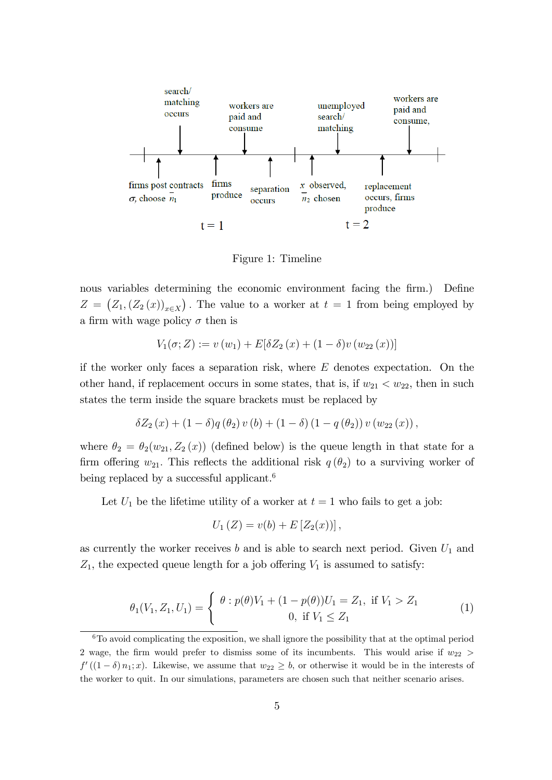

Figure 1: Timeline

nous variables determining the economic environment facing the firm.) Define  $Z = (Z_1, (Z_2(x))_{x \in X})$ . The value to a worker at  $t = 1$  from being employed by a firm with wage policy  $\sigma$  then is

$$
V_1(\sigma; Z) := v(w_1) + E[\delta Z_2(x) + (1 - \delta)v(w_{22}(x))]
$$

if the worker only faces a separation risk, where  $E$  denotes expectation. On the other hand, if replacement occurs in some states, that is, if  $w_{21} < w_{22}$ , then in such states the term inside the square brackets must be replaced by

$$
\delta Z_{2}(x) + (1 - \delta)q(\theta_{2}) v(b) + (1 - \delta) (1 - q(\theta_{2})) v(w_{22}(x)),
$$

where  $\theta_2 = \theta_2(w_{21}, Z_2(x))$  (defined below) is the queue length in that state for a firm offering  $w_{21}$ . This reflects the additional risk  $q(\theta_2)$  to a surviving worker of being replaced by a successful applicant.<sup>6</sup>

Let  $U_1$  be the lifetime utility of a worker at  $t = 1$  who fails to get a job:

$$
U_1(Z) = v(b) + E[Z_2(x))],
$$

as currently the worker receives b and is able to search next period. Given  $U_1$  and  $Z_1$ , the expected queue length for a job offering  $V_1$  is assumed to satisfy:

$$
\theta_1(V_1, Z_1, U_1) = \begin{cases} \theta : p(\theta)V_1 + (1 - p(\theta))U_1 = Z_1, \text{ if } V_1 > Z_1 \\ 0, \text{ if } V_1 \le Z_1 \end{cases}
$$
 (1)

 $6T<sub>0</sub>$  avoid complicating the exposition, we shall ignore the possibility that at the optimal period 2 wage, the firm would prefer to dismiss some of its incumbents. This would arise if  $w_{22}$  >  $f'((1 - \delta) n_1; x)$ . Likewise, we assume that  $w_{22} \ge b$ , or otherwise it would be in the interests of the worker to quit. In our simulations, parameters are chosen such that neither scenario arises.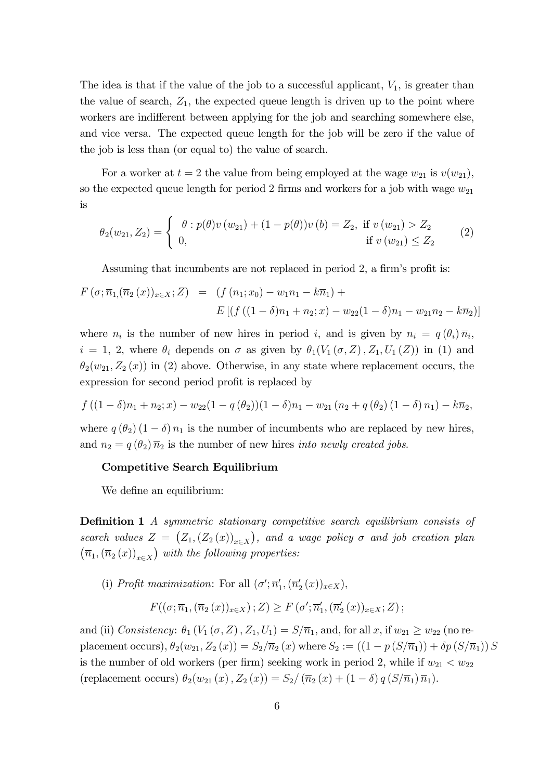The idea is that if the value of the job to a successful applicant,  $V_1$ , is greater than the value of search,  $Z_1$ , the expected queue length is driven up to the point where workers are indifferent between applying for the job and searching somewhere else, and vice versa. The expected queue length for the job will be zero if the value of the job is less than (or equal to) the value of search.

For a worker at  $t = 2$  the value from being employed at the wage  $w_{21}$  is  $v(w_{21})$ , so the expected queue length for period 2 firms and workers for a job with wage  $w_{21}$ is

$$
\theta_2(w_{21}, Z_2) = \begin{cases}\n\theta : p(\theta)v(w_{21}) + (1 - p(\theta))v(b) = Z_2, & \text{if } v(w_{21}) > Z_2 \\
0, & \text{if } v(w_{21}) \le Z_2\n\end{cases}
$$
\n(2)

Assuming that incumbents are not replaced in period 2, a firm's profit is:

$$
F(\sigma; \overline{n}_1, (\overline{n}_2(x))_{x \in X}; Z) = (f(n_1; x_0) - w_1 n_1 - k \overline{n}_1) +
$$
  

$$
E[(f((1 - \delta)n_1 + n_2; x) - w_{22}(1 - \delta)n_1 - w_{21} n_2 - k \overline{n}_2)]
$$

where  $n_i$  is the number of new hires in period i, and is given by  $n_i = q(\theta_i)\overline{n}_i$ ,  $i = 1, 2$ , where  $\theta_i$  depends on  $\sigma$  as given by  $\theta_1(V_1(\sigma, Z), Z_1, U_1(Z))$  in (1) and  $\theta_2(w_{21}, Z_2(x))$  in (2) above. Otherwise, in any state where replacement occurs, the expression for second period profit is replaced by

$$
f((1 - \delta)n_1 + n_2; x) - w_{22}(1 - q(\theta_2))(1 - \delta)n_1 - w_{21}(n_2 + q(\theta_2)(1 - \delta)n_1) - k\overline{n}_2,
$$

where  $q(\theta_2) (1 - \delta) n_1$  is the number of incumbents who are replaced by new hires, and  $n_2 = q(\theta_2) \overline{n}_2$  is the number of new hires *into newly created jobs.* 

### Competitive Search Equilibrium

We define an equilibrium:

**Definition 1** A symmetric stationary competitive search equilibrium consists of search values  $Z = (Z_1, (Z_2(x))_{x \in X})$ , and a wage policy  $\sigma$  and job creation plan  $(\overline{n}_1, (\overline{n}_2(x))_{x \in X})$  with the following properties:

(i) Profit maximization: For all  $(\sigma'; \overline{n}'_1, (\overline{n}'_2(x))_{x \in X})$ ,

$$
F((\sigma;\overline{n}_1,(\overline{n}_2(x))_{x\in X});Z)\geq F(\sigma';\overline{n}_1',(\overline{n}_2'(x))_{x\in X};Z);
$$

and (ii) Consistency:  $\theta_1(V_1(\sigma, Z), Z_1, U_1) = S/\overline{n}_1$ , and, for all  $x$ , if  $w_{21} \ge w_{22}$  (no replacement occurs),  $\theta_2(w_{21}, Z_2(x)) = S_2/\overline{n}_2(x)$  where  $S_2 := ((1 - p(S/\overline{n}_1)) + \delta p(S/\overline{n}_1)) S$ is the number of old workers (per firm) seeking work in period 2, while if  $w_{21} < w_{22}$ (replacement occurs)  $\theta_2(w_{21}(x), Z_2(x)) = S_2/(\overline{n}_2(x) + (1 - \delta) q (S/\overline{n}_1) \overline{n}_1).$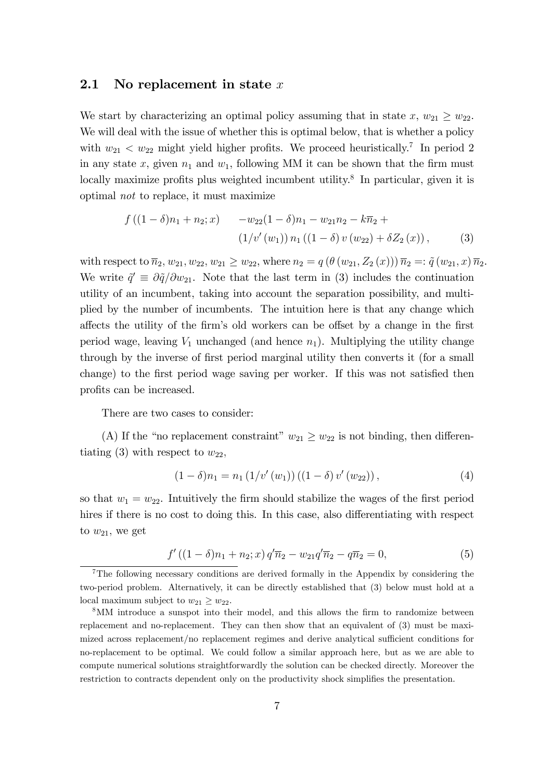### 2.1 No replacement in state x

We start by characterizing an optimal policy assuming that in state  $x, w_{21} \geq w_{22}$ . We will deal with the issue of whether this is optimal below, that is whether a policy with  $w_{21} < w_{22}$  might yield higher profits. We proceed heuristically.<sup>7</sup> In period 2 in any state x, given  $n_1$  and  $w_1$ , following MM it can be shown that the firm must locally maximize profits plus weighted incumbent utility.<sup>8</sup> In particular, given it is optimal not to replace, it must maximize

$$
f((1 - \delta)n_1 + n_2; x) - w_{22}(1 - \delta)n_1 - w_{21}n_2 - k\overline{n}_2 + (1/v'(w_1)) n_1 ((1 - \delta) v(w_{22}) + \delta Z_2(x)),
$$
 (3)

with respect to  $\bar{n}_2, w_{21}, w_{22}, w_{21} \ge w_{22}$ , where  $n_2 = q(\theta(w_{21}, Z_2(x))) \bar{n}_2 =: \tilde{q}(w_{21}, x) \bar{n}_2$ . We write  $\tilde{q}' \equiv \partial \tilde{q}/\partial w_{21}$ . Note that the last term in (3) includes the continuation utility of an incumbent, taking into account the separation possibility, and multiplied by the number of incumbents. The intuition here is that any change which affects the utility of the firm's old workers can be offset by a change in the first period wage, leaving  $V_1$  unchanged (and hence  $n_1$ ). Multiplying the utility change through by the inverse of first period marginal utility then converts it (for a small change) to the first period wage saving per worker. If this was not satisfied then profits can be increased.

There are two cases to consider:

(A) If the "no replacement constraint"  $w_{21} \geq w_{22}$  is not binding, then differentiating (3) with respect to  $w_{22}$ ,

$$
(1 - \delta)n_1 = n_1 (1/v'(w_1)) ((1 - \delta) v'(w_{22})), \qquad (4)
$$

so that  $w_1 = w_{22}$ . Intuitively the firm should stabilize the wages of the first period hires if there is no cost to doing this. In this case, also differentiating with respect to  $w_{21}$ , we get

$$
f'((1 - \delta)n_1 + n_2; x) q'\overline{n}_2 - w_{21}q'\overline{n}_2 - q\overline{n}_2 = 0,
$$
\n(5)

<sup>7</sup>The following necessary conditions are derived formally in the Appendix by considering the two-period problem. Alternatively, it can be directly established that (3) below must hold at a local maximum subject to  $w_{21} \geq w_{22}$ .

<sup>&</sup>lt;sup>8</sup>MM introduce a sunspot into their model, and this allows the firm to randomize between replacement and no-replacement. They can then show that an equivalent of (3) must be maximized across replacement/no replacement regimes and derive analytical sufficient conditions for no-replacement to be optimal. We could follow a similar approach here, but as we are able to compute numerical solutions straightforwardly the solution can be checked directly. Moreover the restriction to contracts dependent only on the productivity shock simplifies the presentation.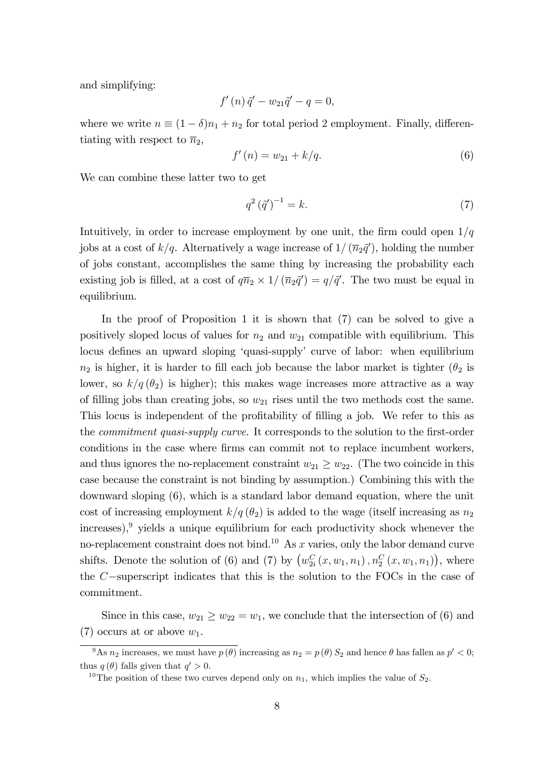and simplifying:

$$
f'(n)\tilde{q}' - w_{21}\tilde{q}' - q = 0,
$$

where we write  $n \equiv (1 - \delta)n_1 + n_2$  for total period 2 employment. Finally, differentiating with respect to  $\overline{n}_2$ ,

$$
f'(n) = w_{21} + k/q.
$$
 (6)

We can combine these latter two to get

$$
q^{2}(\tilde{q}')^{-1} = k.\tag{7}
$$

Intuitively, in order to increase employment by one unit, the firm could open  $1/q$ jobs at a cost of  $k/q$ . Alternatively a wage increase of  $1/$   $(\overline{n}_2\tilde{q}^{\prime})$ , holding the number of jobs constant, accomplishes the same thing by increasing the probability each existing job is filled, at a cost of  $q\overline{n}_2 \times 1/(\overline{n}_2\tilde{q}') = q/\tilde{q}'$ . The two must be equal in equilibrium.

In the proof of Proposition 1 it is shown that (7) can be solved to give a positively sloped locus of values for  $n_2$  and  $w_{21}$  compatible with equilibrium. This locus defines an upward sloping 'quasi-supply' curve of labor: when equilibrium  $n_2$  is higher, it is harder to fill each job because the labor market is tighter ( $\theta_2$  is lower, so  $k/q(\theta_2)$  is higher); this makes wage increases more attractive as a way of filling jobs than creating jobs, so  $w_{21}$  rises until the two methods cost the same. This locus is independent of the profitability of filling a job. We refer to this as the *commitment quasi-supply curve*. It corresponds to the solution to the first-order conditions in the case where firms can commit not to replace incumbent workers, and thus ignores the no-replacement constraint  $w_{21} \geq w_{22}$ . (The two coincide in this case because the constraint is not binding by assumption.) Combining this with the downward sloping (6), which is a standard labor demand equation, where the unit cost of increasing employment  $k/q(\theta_2)$  is added to the wage (itself increasing as  $n_2$  $increases$ ,  $\frac{9}{7}$  yields a unique equilibrium for each productivity shock whenever the no-replacement constraint does not bind.<sup>10</sup> As  $x$  varies, only the labor demand curve shifts. Denote the solution of (6) and (7) by  $(w_{2i}^C(x, w_1, n_1), n_2^C(x, w_1, n_1))$ , where the  $C$ -superscript indicates that this is the solution to the FOCs in the case of commitment.

Since in this case,  $w_{21} \geq w_{22} = w_1$ , we conclude that the intersection of (6) and (7) occurs at or above  $w_1$ .

<sup>&</sup>lt;sup>9</sup>As  $n_2$  increases, we must have  $p(\theta)$  increasing as  $n_2 = p(\theta) S_2$  and hence  $\theta$  has fallen as  $p' < 0$ ; thus  $q(\theta)$  falls given that  $q' > 0$ .

<sup>&</sup>lt;sup>10</sup>The position of these two curves depend only on  $n_1$ , which implies the value of  $S_2$ .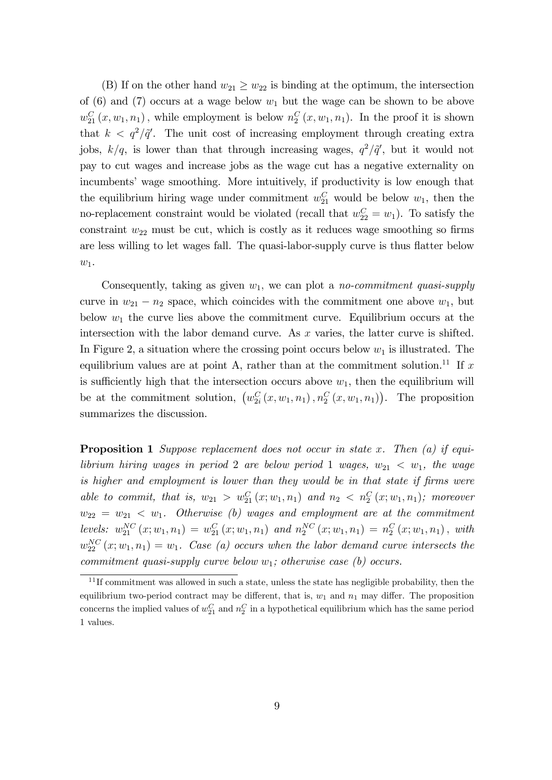(B) If on the other hand  $w_{21} \geq w_{22}$  is binding at the optimum, the intersection of (6) and (7) occurs at a wage below  $w_1$  but the wage can be shown to be above  $w_{21}^C(x, w_1, n_1)$ , while employment is below  $n_2^C(x, w_1, n_1)$ . In the proof it is shown that  $k < q^2/\tilde{q}'$ . The unit cost of increasing employment through creating extra jobs,  $k/q$ , is lower than that through increasing wages,  $q^2/\tilde{q}'$ , but it would not pay to cut wages and increase jobs as the wage cut has a negative externality on incumbents' wage smoothing. More intuitively, if productivity is low enough that the equilibrium hiring wage under commitment  $w_{21}^C$  would be below  $w_1$ , then the no-replacement constraint would be violated (recall that  $w_{22}^C = w_1$ ). To satisfy the constraint  $w_{22}$  must be cut, which is costly as it reduces wage smoothing so firms are less willing to let wages fall. The quasi-labor-supply curve is thus flatter below  $w_1$ .

Consequently, taking as given  $w_1$ , we can plot a *no-commitment quasi-supply* curve in  $w_{21} - n_2$  space, which coincides with the commitment one above  $w_1$ , but below  $w_1$  the curve lies above the commitment curve. Equilibrium occurs at the intersection with the labor demand curve. As x varies, the latter curve is shifted. In Figure 2, a situation where the crossing point occurs below  $w_1$  is illustrated. The equilibrium values are at point A, rather than at the commitment solution.<sup>11</sup> If x is sufficiently high that the intersection occurs above  $w_1$ , then the equilibrium will be at the commitment solution,  $(w_{2i}^C(x, w_1, n_1), n_2^C(x, w_1, n_1))$ . The proposition summarizes the discussion.

**Proposition 1** Suppose replacement does not occur in state x. Then  $(a)$  if equilibrium hiring wages in period 2 are below period 1 wages,  $w_{21} < w_1$ , the wage is higher and employment is lower than they would be in that state if firms were able to commit, that is,  $w_{21} > w_{21}^C(x; w_1, n_1)$  and  $n_2 < n_2^C(x; w_1, n_1)$ ; moreover  $w_{22} = w_{21} < w_1$ . Otherwise (b) wages and employment are at the commitment levels:  $w_{21}^{NC}(x; w_1, n_1) = w_{21}^C(x; w_1, n_1)$  and  $n_2^{NC}(x; w_1, n_1) = n_2^C(x; w_1, n_1)$ , with  $w_{22}^{NC}(x;w_1,n_1) = w_1$ . Case (a) occurs when the labor demand curve intersects the commitment quasi-supply curve below  $w_1$ ; otherwise case (b) occurs.

 $11$  If commitment was allowed in such a state, unless the state has negligible probability, then the equilibrium two-period contract may be different, that is,  $w_1$  and  $n_1$  may differ. The proposition concerns the implied values of  $w_{21}^C$  and  $n_2^C$  in a hypothetical equilibrium which has the same period 1 values.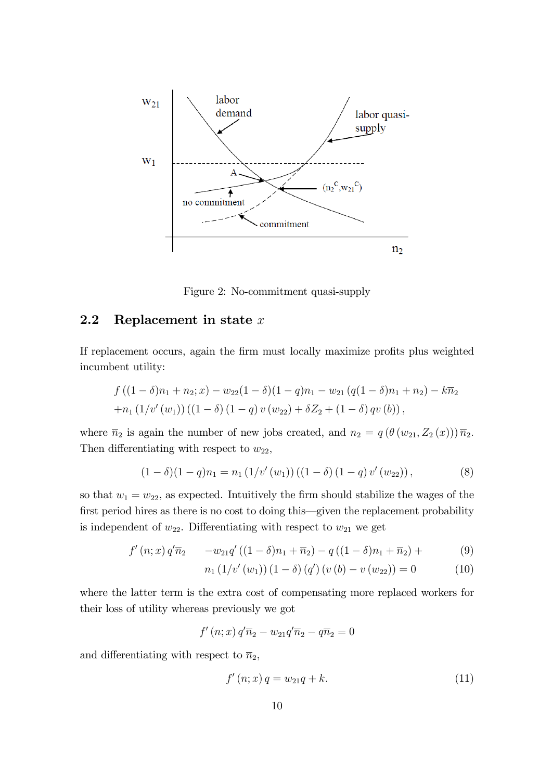

Figure 2: No-commitment quasi-supply

### 2.2 Replacement in state  $x$

If replacement occurs, again the firm must locally maximize profits plus weighted incumbent utility:

$$
f ((1 - \delta)n_1 + n_2; x) - w_{22}(1 - \delta)(1 - q)n_1 - w_{21} (q(1 - \delta)n_1 + n_2) - k\overline{n}_2
$$
  
+ 
$$
n_1 (1/v'(w_1)) ((1 - \delta) (1 - q) v(w_{22}) + \delta Z_2 + (1 - \delta) qv(b)),
$$

where  $\bar{n}_2$  is again the number of new jobs created, and  $n_2 = q(\theta(w_{21}, Z_2(x))) \bar{n}_2$ . Then differentiating with respect to  $w_{22}$ ,

$$
(1 - \delta)(1 - q)n_1 = n_1 (1/v'(w_1)) ((1 - \delta) (1 - q) v'(w_{22})), \qquad (8)
$$

so that  $w_1 = w_{22}$ , as expected. Intuitively the firm should stabilize the wages of the first period hires as there is no cost to doing this—given the replacement probability is independent of  $w_{22}$ . Differentiating with respect to  $w_{21}$  we get

$$
f'(n; x) q'\overline{n}_2 - w_{21} q'((1 - \delta)n_1 + \overline{n}_2) - q((1 - \delta)n_1 + \overline{n}_2) + (9)
$$

$$
n_1(1/v'(w_1))(1-\delta)(q')(v(b)-v(w_{22}))=0 \qquad (10)
$$

where the latter term is the extra cost of compensating more replaced workers for their loss of utility whereas previously we got

$$
f'(n; x) q'\overline{n}_2 - w_{21} q'\overline{n}_2 - q\overline{n}_2 = 0
$$

and differentiating with respect to  $\bar{n}_2$ ,

$$
f'(n; x) q = w_{21} q + k. \tag{11}
$$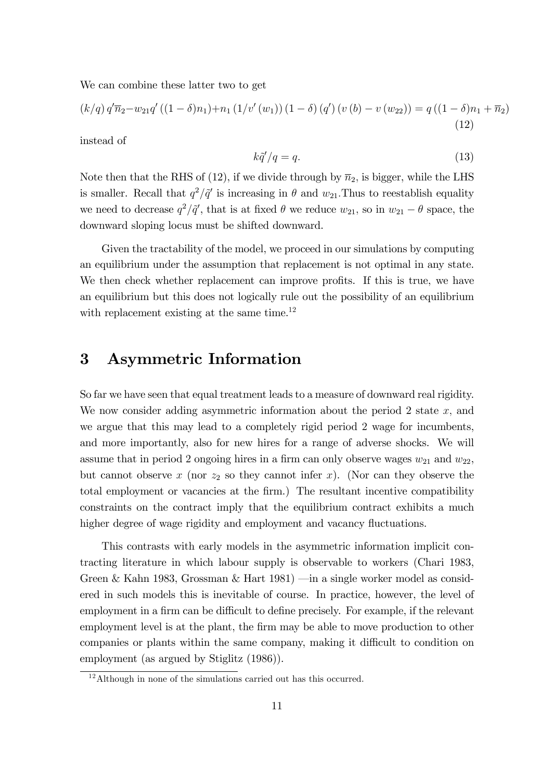We can combine these latter two to get

$$
(k/q) q'\overline{n}_2 - w_{21} q' ((1 - \delta)n_1) + n_1 (1/v'(w_1)) (1 - \delta) (q') (v (b) - v (w_{22})) = q ((1 - \delta)n_1 + \overline{n}_2)
$$
\n(12)

instead of

$$
k\tilde{q}'/q = q.\tag{13}
$$

Note then that the RHS of (12), if we divide through by  $\bar{n}_2$ , is bigger, while the LHS is smaller. Recall that  $q^2/\tilde{q}'$  is increasing in  $\theta$  and  $w_{21}$ . Thus to reestablish equality we need to decrease  $q^2/\tilde{q}'$ , that is at fixed  $\theta$  we reduce  $w_{21}$ , so in  $w_{21} - \theta$  space, the downward sloping locus must be shifted downward.

Given the tractability of the model, we proceed in our simulations by computing an equilibrium under the assumption that replacement is not optimal in any state. We then check whether replacement can improve profits. If this is true, we have an equilibrium but this does not logically rule out the possibility of an equilibrium with replacement existing at the same time.<sup>12</sup>

### 3 Asymmetric Information

So far we have seen that equal treatment leads to a measure of downward real rigidity. We now consider adding asymmetric information about the period 2 state  $x$ , and we argue that this may lead to a completely rigid period 2 wage for incumbents, and more importantly, also for new hires for a range of adverse shocks. We will assume that in period 2 ongoing hires in a firm can only observe wages  $w_{21}$  and  $w_{22}$ , but cannot observe x (nor  $z_2$  so they cannot infer x). (Nor can they observe the total employment or vacancies at the Örm.) The resultant incentive compatibility constraints on the contract imply that the equilibrium contract exhibits a much higher degree of wage rigidity and employment and vacancy fluctuations.

This contrasts with early models in the asymmetric information implicit contracting literature in which labour supply is observable to workers (Chari 1983, Green & Kahn 1983, Grossman & Hart 1981) — in a single worker model as considered in such models this is inevitable of course. In practice, however, the level of employment in a firm can be difficult to define precisely. For example, if the relevant employment level is at the plant, the firm may be able to move production to other companies or plants within the same company, making it difficult to condition on employment (as argued by Stiglitz (1986)).

 $12$ Although in none of the simulations carried out has this occurred.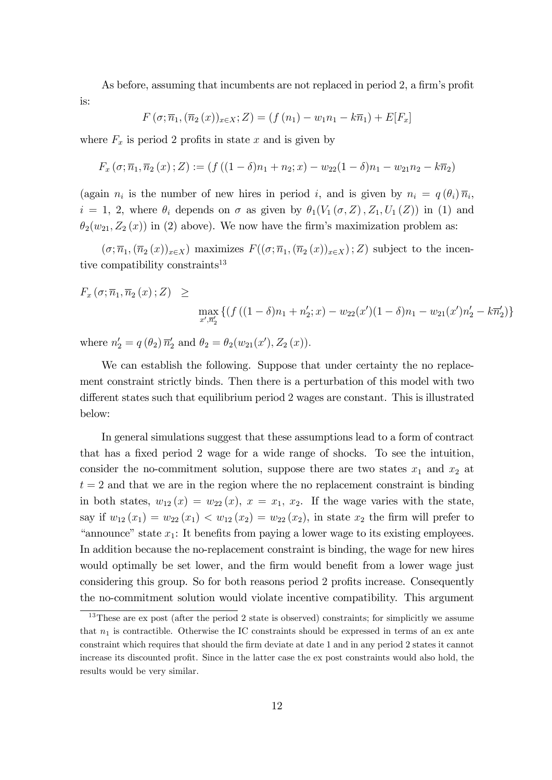As before, assuming that incumbents are not replaced in period 2, a firm's profit is:

$$
F(\sigma; \overline{n}_1, (\overline{n}_2(x))_{x \in X}; Z) = (f(n_1) - w_1 n_1 - k \overline{n}_1) + E[F_x]
$$

where  $F_x$  is period 2 profits in state x and is given by

$$
F_x(\sigma; \overline{n}_1, \overline{n}_2(x); Z) := (f((1 - \delta)n_1 + n_2; x) - w_{22}(1 - \delta)n_1 - w_{21}n_2 - k\overline{n}_2)
$$

(again  $n_i$  is the number of new hires in period i, and is given by  $n_i = q(\theta_i)\overline{n}_i$ ,  $i = 1, 2$ , where  $\theta_i$  depends on  $\sigma$  as given by  $\theta_1(V_1(\sigma, Z), Z_1, U_1(Z))$  in (1) and  $\theta_2(w_{21}, Z_2(x))$  in (2) above). We now have the firm's maximization problem as:

 $(\sigma; \overline{n}_1, (\overline{n}_2(x))_{x\in X})$  maximizes  $F((\sigma; \overline{n}_1, (\overline{n}_2(x))_{x\in X}); Z)$  subject to the incentive compatibility constraints<sup>13</sup>

$$
F_x(\sigma; \overline{n}_1, \overline{n}_2(x); Z) \ge \max_{\substack{x', \overline{n}'_2}} \{ (f((1 - \delta)n_1 + n'_2; x) - w_{22}(x')(1 - \delta)n_1 - w_{21}(x')n'_2 - k\overline{n}'_2) \}
$$

where  $n'_2 = q(\theta_2) \overline{n}'_2$  and  $\theta_2 = \theta_2(w_{21}(x'), Z_2(x))$ .

We can establish the following. Suppose that under certainty the no replacement constraint strictly binds. Then there is a perturbation of this model with two different states such that equilibrium period 2 wages are constant. This is illustrated below:

In general simulations suggest that these assumptions lead to a form of contract that has a fixed period 2 wage for a wide range of shocks. To see the intuition, consider the no-commitment solution, suppose there are two states  $x_1$  and  $x_2$  at  $t = 2$  and that we are in the region where the no replacement constraint is binding in both states,  $w_{12}(x) = w_{22}(x)$ ,  $x = x_1, x_2$ . If the wage varies with the state, say if  $w_{12}(x_1) = w_{22}(x_1) < w_{12}(x_2) = w_{22}(x_2)$ , in state  $x_2$  the firm will prefer to "announce" state  $x_1$ : It benefits from paying a lower wage to its existing employees. In addition because the no-replacement constraint is binding, the wage for new hires would optimally be set lower, and the firm would benefit from a lower wage just considering this group. So for both reasons period 2 profits increase. Consequently the no-commitment solution would violate incentive compatibility. This argument

<sup>&</sup>lt;sup>13</sup>These are ex post (after the period 2 state is observed) constraints; for simplicitly we assume that  $n_1$  is contractible. Otherwise the IC constraints should be expressed in terms of an ex ante constraint which requires that should the firm deviate at date 1 and in any period 2 states it cannot increase its discounted profit. Since in the latter case the ex post constraints would also hold, the results would be very similar.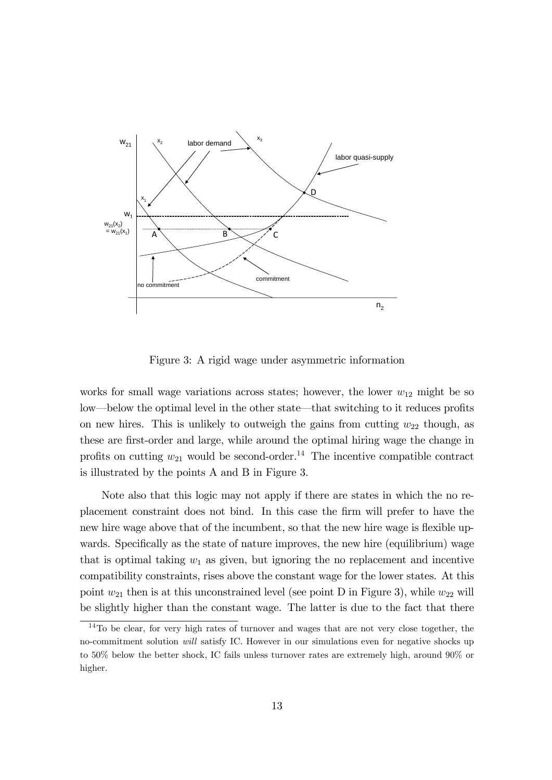

Figure 3: A rigid wage under asymmetric information

works for small wage variations across states; however, the lower  $w_{12}$  might be so low—below the optimal level in the other state—that switching to it reduces profits on new hires. This is unlikely to outweigh the gains from cutting  $w_{22}$  though, as these are first-order and large, while around the optimal hiring wage the change in profits on cutting  $w_{21}$  would be second-order.<sup>14</sup> The incentive compatible contract is illustrated by the points A and B in Figure 3.

Note also that this logic may not apply if there are states in which the no replacement constraint does not bind. In this case the Örm will prefer to have the new hire wage above that of the incumbent, so that the new hire wage is flexible upwards. Specifically as the state of nature improves, the new hire (equilibrium) wage that is optimal taking  $w_1$  as given, but ignoring the no replacement and incentive compatibility constraints, rises above the constant wage for the lower states. At this point  $w_{21}$  then is at this unconstrained level (see point D in Figure 3), while  $w_{22}$  will be slightly higher than the constant wage. The latter is due to the fact that there

 $14$ To be clear, for very high rates of turnover and wages that are not very close together, the no-commitment solution will satisfy IC. However in our simulations even for negative shocks up to 50% below the better shock, IC fails unless turnover rates are extremely high, around 90% or higher.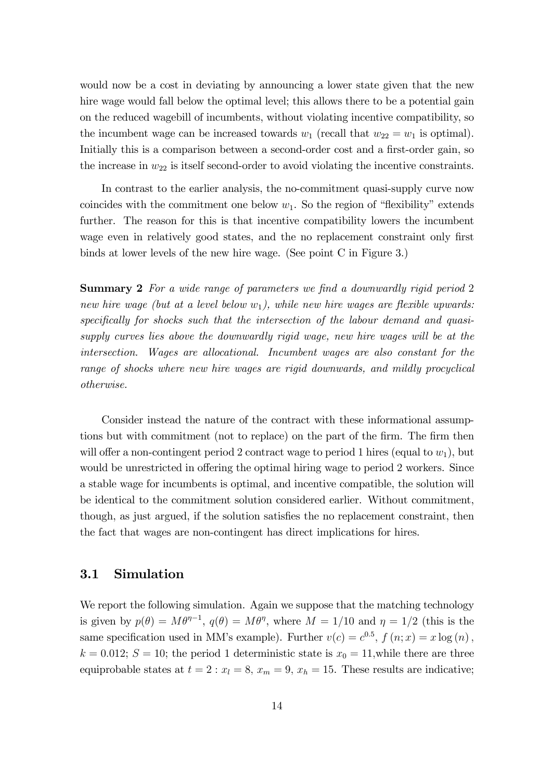would now be a cost in deviating by announcing a lower state given that the new hire wage would fall below the optimal level; this allows there to be a potential gain on the reduced wagebill of incumbents, without violating incentive compatibility, so the incumbent wage can be increased towards  $w_1$  (recall that  $w_{22} = w_1$  is optimal). Initially this is a comparison between a second-order cost and a first-order gain, so the increase in  $w_{22}$  is itself second-order to avoid violating the incentive constraints.

In contrast to the earlier analysis, the no-commitment quasi-supply curve now coincides with the commitment one below  $w_1$ . So the region of "flexibility" extends further. The reason for this is that incentive compatibility lowers the incumbent wage even in relatively good states, and the no replacement constraint only first binds at lower levels of the new hire wage. (See point C in Figure 3.)

**Summary 2** For a wide range of parameters we find a downwardly rigid period 2 new hire wage (but at a level below  $w_1$ ), while new hire wages are flexible upwards: specifically for shocks such that the intersection of the labour demand and quasisupply curves lies above the downwardly rigid wage, new hire wages will be at the intersection. Wages are allocational. Incumbent wages are also constant for the range of shocks where new hire wages are rigid downwards, and mildly procyclical otherwise.

Consider instead the nature of the contract with these informational assumptions but with commitment (not to replace) on the part of the firm. The firm then will offer a non-contingent period 2 contract wage to period 1 hires (equal to  $w_1$ ), but would be unrestricted in offering the optimal hiring wage to period 2 workers. Since a stable wage for incumbents is optimal, and incentive compatible, the solution will be identical to the commitment solution considered earlier. Without commitment, though, as just argued, if the solution satisfies the no replacement constraint, then the fact that wages are non-contingent has direct implications for hires.

### 3.1 Simulation

We report the following simulation. Again we suppose that the matching technology is given by  $p(\theta) = M\theta^{\eta-1}$ ,  $q(\theta) = M\theta^{\eta}$ , where  $M = 1/10$  and  $\eta = 1/2$  (this is the same specification used in MM's example). Further  $v(c) = c^{0.5}$ ,  $f(n; x) = x \log(n)$ ,  $k = 0.012$ ;  $S = 10$ ; the period 1 deterministic state is  $x<sub>0</sub> = 11$ , while there are three equiprobable states at  $t = 2$ :  $x_l = 8$ ,  $x_m = 9$ ,  $x_h = 15$ . These results are indicative;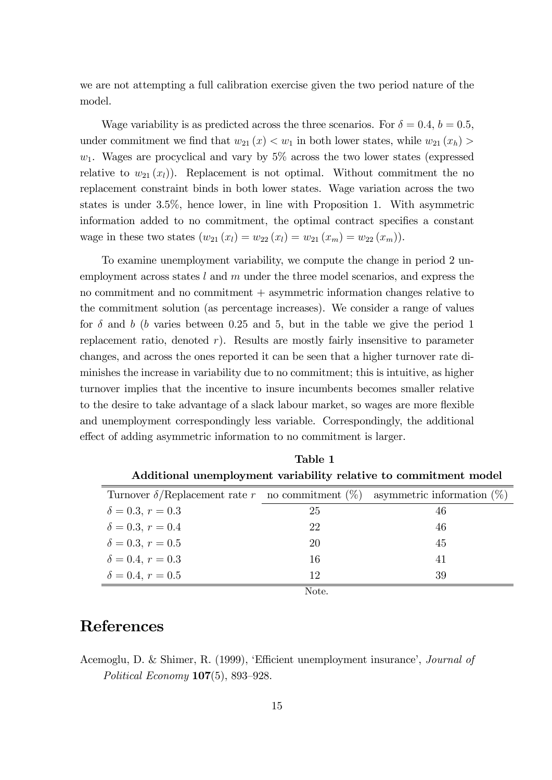we are not attempting a full calibration exercise given the two period nature of the model.

Wage variability is as predicted across the three scenarios. For  $\delta = 0.4$ ,  $b = 0.5$ , under commitment we find that  $w_{21}(x) < w_1$  in both lower states, while  $w_{21}(x_h)$  $w_1$ . Wages are procyclical and vary by  $5\%$  across the two lower states (expressed relative to  $w_{21}(x_l)$ . Replacement is not optimal. Without commitment the no replacement constraint binds in both lower states. Wage variation across the two states is under 3.5%, hence lower, in line with Proposition 1. With asymmetric information added to no commitment, the optimal contract specifies a constant wage in these two states  $(w_{21} (x_l) = w_{22} (x_l) = w_{21} (x_m) = w_{22} (x_m)).$ 

To examine unemployment variability, we compute the change in period 2 unemployment across states l and m under the three model scenarios, and express the no commitment and no commitment + asymmetric information changes relative to the commitment solution (as percentage increases). We consider a range of values for  $\delta$  and b (b varies between 0.25 and 5, but in the table we give the period 1 replacement ratio, denoted  $r$ ). Results are mostly fairly insensitive to parameter changes, and across the ones reported it can be seen that a higher turnover rate diminishes the increase in variability due to no commitment; this is intuitive, as higher turnover implies that the incentive to insure incumbents becomes smaller relative to the desire to take advantage of a slack labour market, so wages are more flexible and unemployment correspondingly less variable. Correspondingly, the additional effect of adding asymmetric information to no commitment is larger.

| Table 1                                                          |    |                               |
|------------------------------------------------------------------|----|-------------------------------|
| Additional unemployment variability relative to commitment model |    |                               |
| Turnover $\delta$ /Replacement rate r no commitment $(\%)$       |    | asymmetric information $(\%)$ |
| $\delta = 0.3, r = 0.3$                                          | 25 | 46                            |
| $\delta = 0.3, r = 0.4$                                          | 22 | 46                            |
| $\delta = 0.3, r = 0.5$                                          | 20 | 45                            |
| $\delta = 0.4, r = 0.3$                                          | 16 | 41                            |
| $\delta = 0.4, r = 0.5$                                          | 12 | 39                            |
| Note.                                                            |    |                               |

## References

Acemoglu, D. & Shimer, R. (1999), 'Efficient unemployment insurance', *Journal of* Political Economy  $107(5)$ , 893-928.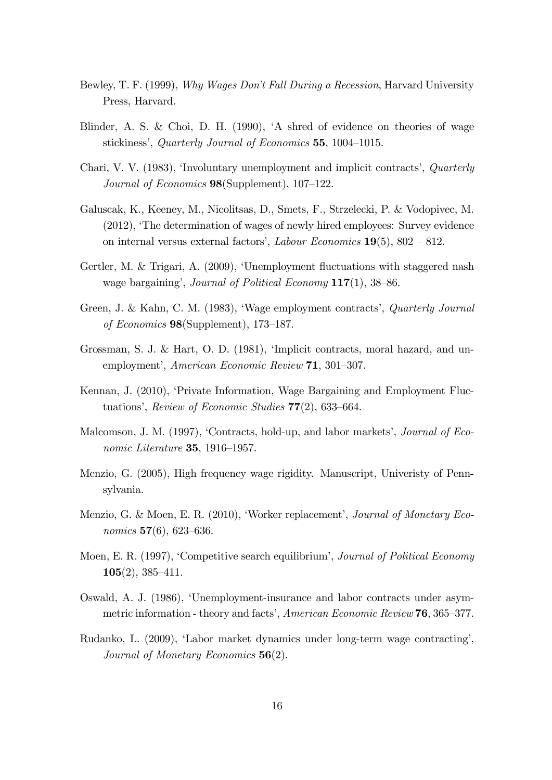- Bewley, T. F. (1999), Why Wages Don't Fall During a Recession, Harvard University Press, Harvard.
- Blinder, A. S. & Choi, D. H. (1990), ëA shred of evidence on theories of wage stickiness', Quarterly Journal of Economics  $55$ , 1004–1015.
- Chari, V. V. (1983), 'Involuntary unemployment and implicit contracts', *Quarterly* Journal of Economics  $98$ (Supplement), 107–122.
- Galuscak, K., Keeney, M., Nicolitsas, D., Smets, F., Strzelecki, P. & Vodopivec, M. (2012), ëThe determination of wages of newly hired employees: Survey evidence on internal versus external factors', Labour Economics  $19(5)$ ,  $802 - 812$ .
- Gertler, M. & Trigari, A. (2009), 'Unemployment fluctuations with staggered nash wage bargaining', Journal of Political Economy  $117(1)$ , 38-86.
- Green, J. & Kahn, C. M. (1983), 'Wage employment contracts', *Quarterly Journal* of Economics  $98(Supplement)$ , 173–187.
- Grossman, S. J. & Hart, O. D. (1981), 'Implicit contracts, moral hazard, and unemployment', American Economic Review 71, 301-307.
- Kennan, J. (2010), ëPrivate Information, Wage Bargaining and Employment Fluctuations', Review of Economic Studies  $77(2)$ , 633–664.
- Malcomson, J. M. (1997), 'Contracts, hold-up, and labor markets', *Journal of Eco*nomic Literature 35, 1916–1957.
- Menzio, G. (2005), High frequency wage rigidity. Manuscript, Univeristy of Pennsylvania.
- Menzio, G. & Moen, E. R. (2010), 'Worker replacement', Journal of Monetary Economics  $57(6)$ , 623-636.
- Moen, E. R. (1997), 'Competitive search equilibrium', *Journal of Political Economy*  $105(2), 385 - 411.$
- Oswald, A. J. (1986), ëUnemployment-insurance and labor contracts under asymmetric information - theory and facts', American Economic Review 76, 365–377.
- Rudanko, L. (2009), ëLabor market dynamics under long-term wage contractingí, Journal of Monetary Economics **56**(2).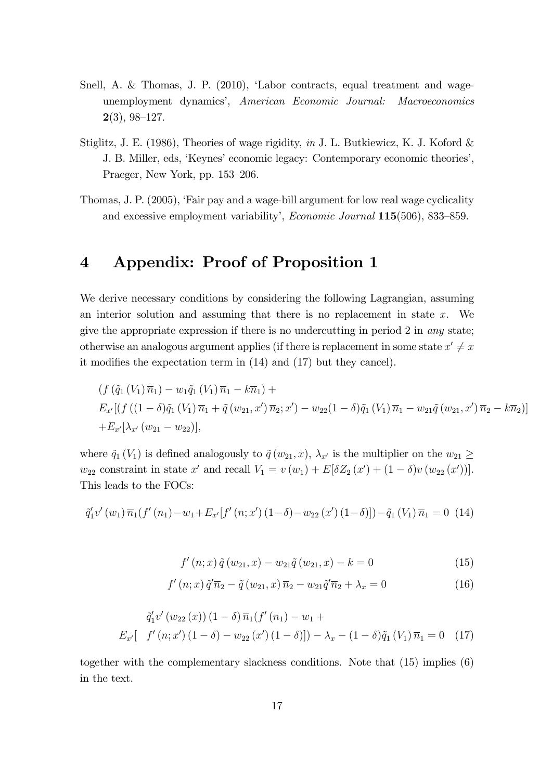- Snell, A. & Thomas, J. P. (2010), 'Labor contracts, equal treatment and wageunemployment dynamicsí, American Economic Journal: Macroeconomics  $2(3)$ , 98-127.
- Stiglitz, J. E. (1986), Theories of wage rigidity, in J. L. Butkiewicz, K. J. Koford & J. B. Miller, eds, 'Keynes' economic legacy: Contemporary economic theories', Praeger, New York, pp. 153–206.
- Thomas, J. P. (2005), ëFair pay and a wage-bill argument for low real wage cyclicality and excessive employment variability',  $E_{\text{conomic Journal}} 115(506)$ , 833–859.

## 4 Appendix: Proof of Proposition 1

We derive necessary conditions by considering the following Lagrangian, assuming an interior solution and assuming that there is no replacement in state  $x$ . We give the appropriate expression if there is no undercutting in period 2 in any state; otherwise an analogous argument applies (if there is replacement in some state  $x' \neq x$ it modifies the expectation term in  $(14)$  and  $(17)$  but they cancel).

$$
(f (\tilde{q}_1 (V_1) \overline{n}_1) - w_1 \tilde{q}_1 (V_1) \overline{n}_1 - k \overline{n}_1) +
$$
  
\n
$$
E_{x'}[(f ((1 - \delta) \tilde{q}_1 (V_1) \overline{n}_1 + \tilde{q} (w_{21}, x') \overline{n}_2; x') - w_{22}(1 - \delta) \tilde{q}_1 (V_1) \overline{n}_1 - w_{21} \tilde{q} (w_{21}, x') \overline{n}_2 - k \overline{n}_2)]
$$
  
\n
$$
+ E_{x'}[\lambda_{x'} (w_{21} - w_{22})],
$$

where  $\tilde{q}_1 (V_1)$  is defined analogously to  $\tilde{q}(w_{21}, x)$ ,  $\lambda_{x'}$  is the multiplier on the  $w_{21} \geq$  $w_{22}$  constraint in state x' and recall  $V_1 = v(w_1) + E[\delta Z_2(x') + (1 - \delta)v(w_{22}(x'))]$ . This leads to the FOCs:

$$
\tilde{q}'_1 v'(w_1) \overline{n}_1 (f'(n_1) - w_1 + E_{x'}[f'(n; x') (1 - \delta) - w_{22} (x') (1 - \delta)]) - \tilde{q}_1 (V_1) \overline{n}_1 = 0
$$
 (14)

$$
f'(n; x) \tilde{q}(w_{21}, x) - w_{21} \tilde{q}(w_{21}, x) - k = 0 \tag{15}
$$

$$
f'(n;x)\tilde{q}'\overline{n}_2 - \tilde{q}(w_{21},x)\overline{n}_2 - w_{21}\tilde{q}'\overline{n}_2 + \lambda_x = 0
$$
\n(16)

$$
\tilde{q}'_1 v'(w_{22}(x)) (1 - \delta) \overline{n}_1(f'(n_1) - w_1 +
$$
  
\n
$$
E_{x'}[-f'(n; x')(1 - \delta) - w_{22}(x')(1 - \delta)]) - \lambda_x - (1 - \delta)\tilde{q}_1(V_1)\overline{n}_1 = 0
$$
 (17)

together with the complementary slackness conditions. Note that (15) implies (6) in the text.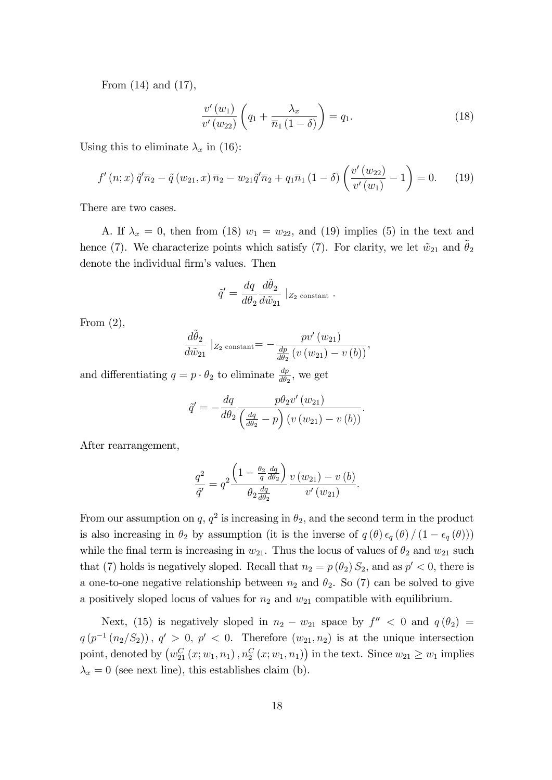From (14) and (17),

$$
\frac{v'(w_1)}{v'(w_{22})}\left(q_1+\frac{\lambda_x}{\overline{n}_1(1-\delta)}\right)=q_1.
$$
\n(18)

Using this to eliminate  $\lambda_x$  in (16):

$$
f'(n;x)\tilde{q}'\overline{n}_2 - \tilde{q}(w_{21},x)\overline{n}_2 - w_{21}\tilde{q}'\overline{n}_2 + q_1\overline{n}_1(1-\delta)\left(\frac{v'(w_{22})}{v'(w_1)} - 1\right) = 0.
$$
 (19)

There are two cases.

A. If  $\lambda_x = 0$ , then from (18)  $w_1 = w_{22}$ , and (19) implies (5) in the text and hence (7). We characterize points which satisfy (7). For clarity, we let  $\tilde{w}_{21}$  and  $\theta_2$ denote the individual firm's values. Then

$$
\tilde{q}' = \frac{dq}{d\theta_2} \frac{d\tilde{\theta}_2}{d\tilde{w}_{21}} \mid_{Z_2 \text{ constant}}.
$$

From  $(2)$ ,

$$
\frac{d\tilde{\theta}_2}{d\tilde{w}_{21}}\mid_{Z_2 \text{ constant}} = -\frac{pv'(w_{21})}{\frac{dp}{d\theta_2}(v(w_{21}) - v(b))},
$$

and differentiating  $q = p \cdot \theta_2$  to eliminate  $\frac{dp}{d\theta_2}$ , we get

$$
\tilde{q}' = -\frac{dq}{d\theta_2} \frac{p\theta_2 v'(w_{21})}{\left(\frac{dq}{d\theta_2} - p\right) \left(v\left(w_{21}\right) - v\left(b\right)\right)}.
$$

After rearrangement,

$$
\frac{q^2}{\tilde{q}'} = q^2 \frac{\left(1 - \frac{\theta_2}{q} \frac{dq}{d\theta_2}\right)}{\theta_2 \frac{dq}{d\theta_2}} \frac{v(w_{21}) - v(b)}{v'(w_{21})}.
$$

From our assumption on q,  $q^2$  is increasing in  $\theta_2$ , and the second term in the product is also increasing in  $\theta_2$  by assumption (it is the inverse of  $q(\theta) \epsilon_q(\theta) / (1 - \epsilon_q(\theta))$ ) while the final term is increasing in  $w_{21}$ . Thus the locus of values of  $\theta_2$  and  $w_{21}$  such that (7) holds is negatively sloped. Recall that  $n_2 = p(\theta_2) S_2$ , and as  $p' < 0$ , there is a one-to-one negative relationship between  $n_2$  and  $\theta_2$ . So (7) can be solved to give a positively sloped locus of values for  $n_2$  and  $w_{21}$  compatible with equilibrium.

Next, (15) is negatively sloped in  $n_2 - w_{21}$  space by  $f'' < 0$  and  $q(\theta_2) =$  $q(p^{-1}(n_2/S_2)), q' > 0, p' < 0.$  Therefore  $(w_{21}, n_2)$  is at the unique intersection point, denoted by  $(w_{21}^C(x; w_1, n_1), n_2^C(x; w_1, n_1))$  in the text. Since  $w_{21} \geq w_1$  implies  $\lambda_x = 0$  (see next line), this establishes claim (b).